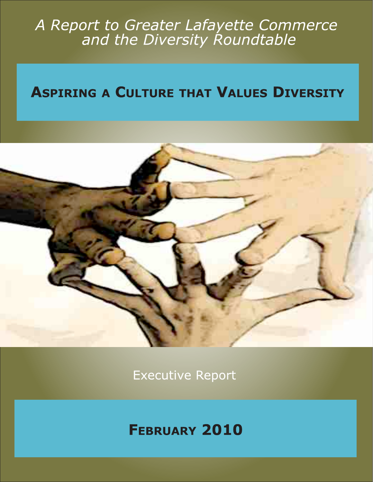# A Report to Greater Lafayette Commerce<br>and the Diversity Roundtable

### **ASPIRING A CULTURE THAT VALUES DIVERSITY**



**Executive Report** 

## **FEBRUARY 2010**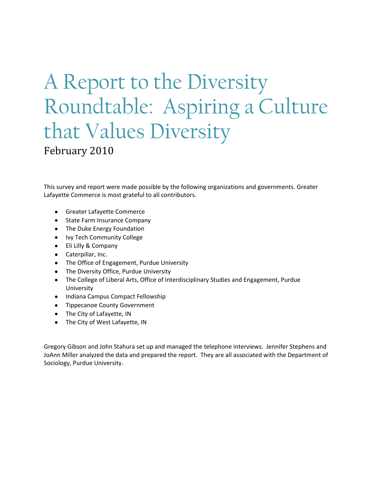## A Report to the Diversity Roundtable: Aspiring a Culture that Values Diversity

February 2010

This survey and report were made possible by the following organizations and governments. Greater Lafayette Commerce is most grateful to all contributors.

- Greater Lafayette Commerce  $\bullet$
- State Farm Insurance Company
- The Duke Energy Foundation
- Ivy Tech Community College
- Eli Lilly & Company
- Caterpillar, Inc.
- The Office of Engagement, Purdue University
- The Diversity Office, Purdue University
- The College of Liberal Arts, Office of Interdisciplinary Studies and Engagement, Purdue University
- Indiana Campus Compact Fellowship
- Tippecanoe County Government
- The City of Lafayette, IN
- The City of West Lafayette, IN

Gregory Gibson and John Stahura set up and managed the telephone interviews. Jennifer Stephens and JoAnn Miller analyzed the data and prepared the report. They are all associated with the Department of Sociology, Purdue University.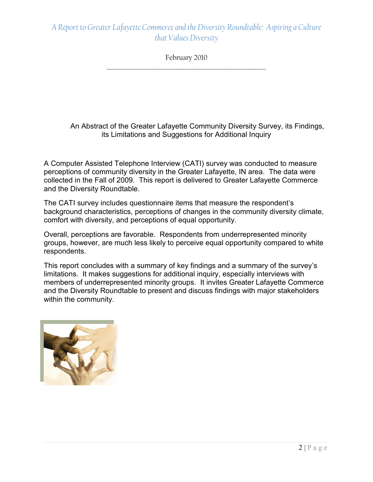February 2010 \_\_\_\_\_\_\_\_\_\_\_\_\_\_\_\_\_\_\_\_\_\_\_\_\_\_\_\_\_\_\_\_\_\_\_\_\_\_\_\_\_\_\_\_\_\_\_\_\_\_\_\_\_\_\_\_\_\_

An Abstract of the Greater Lafayette Community Diversity Survey, its Findings, its Limitations and Suggestions for Additional Inquiry

A Computer Assisted Telephone Interview (CATI) survey was conducted to measure perceptions of community diversity in the Greater Lafayette, IN area. The data were collected in the Fall of 2009. This report is delivered to Greater Lafayette Commerce and the Diversity Roundtable.

The CATI survey includes questionnaire items that measure the respondent's background characteristics, perceptions of changes in the community diversity climate, comfort with diversity, and perceptions of equal opportunity.

Overall, perceptions are favorable. Respondents from underrepresented minority groups, however, are much less likely to perceive equal opportunity compared to white respondents.

This report concludes with a summary of key findings and a summary of the survey's limitations. It makes suggestions for additional inquiry, especially interviews with members of underrepresented minority groups. It invites Greater Lafayette Commerce and the Diversity Roundtable to present and discuss findings with major stakeholders within the community.

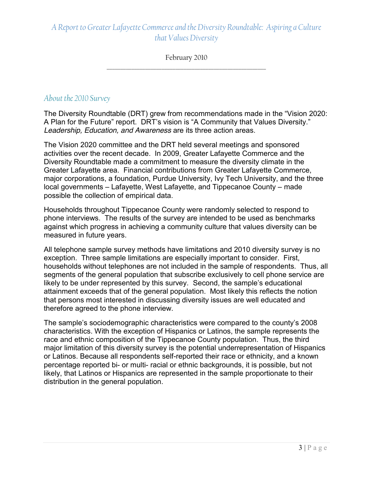February 2010 \_\_\_\_\_\_\_\_\_\_\_\_\_\_\_\_\_\_\_\_\_\_\_\_\_\_\_\_\_\_\_\_\_\_\_\_\_\_\_\_\_\_\_\_\_\_\_\_\_\_\_\_\_\_\_\_\_\_

#### *About the 2010 Survey*

The Diversity Roundtable (DRT) grew from recommendations made in the "Vision 2020: A Plan for the Future" report. DRT's vision is "A Community that Values Diversity." *Leadership, Education, and Awareness* are its three action areas.

The Vision 2020 committee and the DRT held several meetings and sponsored activities over the recent decade. In 2009, Greater Lafayette Commerce and the Diversity Roundtable made a commitment to measure the diversity climate in the Greater Lafayette area. Financial contributions from Greater Lafayette Commerce, major corporations, a foundation, Purdue University, Ivy Tech University, and the three local governments – Lafayette, West Lafayette, and Tippecanoe County – made possible the collection of empirical data.

Households throughout Tippecanoe County were randomly selected to respond to phone interviews. The results of the survey are intended to be used as benchmarks against which progress in achieving a community culture that values diversity can be measured in future years.

All telephone sample survey methods have limitations and 2010 diversity survey is no exception. Three sample limitations are especially important to consider. First, households without telephones are not included in the sample of respondents. Thus, all segments of the general population that subscribe exclusively to cell phone service are likely to be under represented by this survey. Second, the sample's educational attainment exceeds that of the general population. Most likely this reflects the notion that persons most interested in discussing diversity issues are well educated and therefore agreed to the phone interview.

The sample's sociodemographic characteristics were compared to the county's 2008 characteristics. With the exception of Hispanics or Latinos, the sample represents the race and ethnic composition of the Tippecanoe County population. Thus, the third major limitation of this diversity survey is the potential underrepresentation of Hispanics or Latinos. Because all respondents self-reported their race or ethnicity, and a known percentage reported bi- or multi- racial or ethnic backgrounds, it is possible, but not likely, that Latinos or Hispanics are represented in the sample proportionate to their distribution in the general population.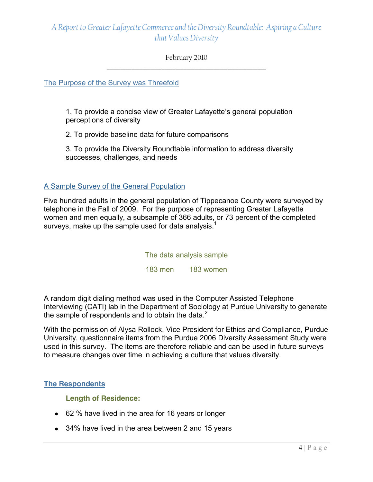#### February 2010 \_\_\_\_\_\_\_\_\_\_\_\_\_\_\_\_\_\_\_\_\_\_\_\_\_\_\_\_\_\_\_\_\_\_\_\_\_\_\_\_\_\_\_\_\_\_\_\_\_\_\_\_\_\_\_\_\_\_

The Purpose of the Survey was Threefold

1. To provide a concise view of Greater Lafayette's general population perceptions of diversity

2. To provide baseline data for future comparisons

3. To provide the Diversity Roundtable information to address diversity successes, challenges, and needs

#### A Sample Survey of the General Population

Five hundred adults in the general population of Tippecanoe County were surveyed by telephone in the Fall of 2009. For the purpose of representing Greater Lafayette women and men equally, a subsample of 366 adults, or 73 percent of the completed surveys, make up the sample used for data analysis.<sup>1</sup>

The data analysis sample

183 men 183 women

A random digit dialing method was used in the Computer Assisted Telephone Interviewing (CATI) lab in the Department of Sociology at Purdue University to generate the sample of respondents and to obtain the data. $2^2$ 

With the permission of Alysa Rollock, Vice President for Ethics and Compliance, Purdue University, questionnaire items from the Purdue 2006 Diversity Assessment Study were used in this survey. The items are therefore reliable and can be used in future surveys to measure changes over time in achieving a culture that values diversity.

#### **The Respondents**

**Length of Residence:**

- 62 % have lived in the area for 16 years or longer
- 34% have lived in the area between 2 and 15 years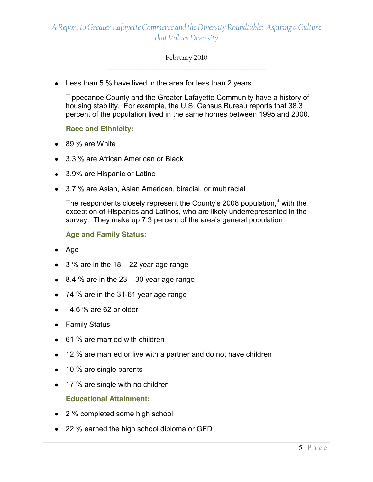#### February 2010 \_\_\_\_\_\_\_\_\_\_\_\_\_\_\_\_\_\_\_\_\_\_\_\_\_\_\_\_\_\_\_\_\_\_\_\_\_\_\_\_\_\_\_\_\_\_\_\_\_\_\_\_\_\_\_\_\_\_

• Less than 5 % have lived in the area for less than 2 years

Tippecanoe County and the Greater Lafayette Community have a history of housing stability. For example, the U.S. Census Bureau reports that 38.3 percent of the population lived in the same homes between 1995 and 2000.

#### **Race and Ethnicity:**

- 89 % are White
- 3.3 % are African American or Black
- 3.9% are Hispanic or Latino
- 3.7 % are Asian, Asian American, biracial, or multiracial

The respondents closely represent the County's 2008 population, $3$  with the exception of Hispanics and Latinos, who are likely underrepresented in the survey. They make up 7.3 percent of the area's general population

**Age and Family Status:**

- $\bullet$  Age
- $\bullet$  3 % are in the 18 22 year age range
- $\bullet$  8.4 % are in the 23 30 year age range
- 74 % are in the 31-61 year age range
- $\bullet$  14.6 % are 62 or older
- Family Status
- 61 % are married with children
- 12 % are married or live with a partner and do not have children
- 10 % are single parents
- 17 % are single with no children **Educational Attainment:**
- 2 % completed some high school
- 22 % earned the high school diploma or GED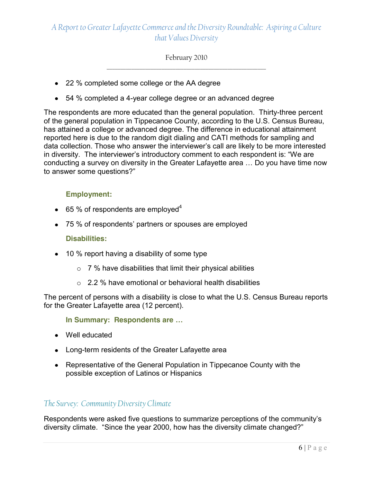February 2010 \_\_\_\_\_\_\_\_\_\_\_\_\_\_\_\_\_\_\_\_\_\_\_\_\_\_\_\_\_\_\_\_\_\_\_\_\_\_\_\_\_\_\_\_\_\_\_\_\_\_\_\_\_\_\_\_\_\_

- 22 % completed some college or the AA degree
- 54 % completed a 4-year college degree or an advanced degree

The respondents are more educated than the general population. Thirty-three percent of the general population in Tippecanoe County, according to the U.S. Census Bureau, has attained a college or advanced degree. The difference in educational attainment reported here is due to the random digit dialing and CATI methods for sampling and data collection. Those who answer the interviewer's call are likely to be more interested in diversity. The interviewer's introductory comment to each respondent is: "We are conducting a survey on diversity in the Greater Lafayette area … Do you have time now to answer some questions?"

#### **Employment:**

- $\bullet$  65 % of respondents are employed<sup>4</sup>
- 75 % of respondents' partners or spouses are employed

#### **Disabilities:**

- 10 % report having a disability of some type
	- $\circ$  7% have disabilities that limit their physical abilities
	- $\circ$  2.2 % have emotional or behavioral health disabilities

The percent of persons with a disability is close to what the U.S. Census Bureau reports for the Greater Lafayette area (12 percent).

**In Summary: Respondents are …**

- Well educated
- Long-term residents of the Greater Lafayette area
- Representative of the General Population in Tippecanoe County with the possible exception of Latinos or Hispanics

#### *The Survey: Community Diversity Climate*

Respondents were asked five questions to summarize perceptions of the community's diversity climate. "Since the year 2000, how has the diversity climate changed?"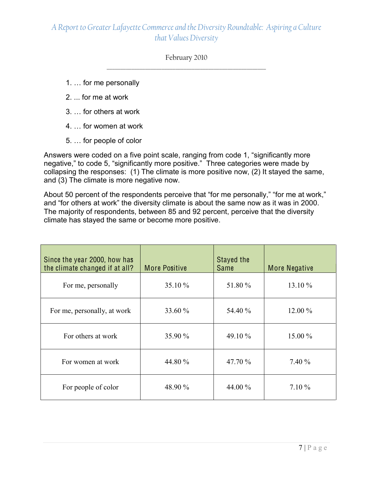February 2010 \_\_\_\_\_\_\_\_\_\_\_\_\_\_\_\_\_\_\_\_\_\_\_\_\_\_\_\_\_\_\_\_\_\_\_\_\_\_\_\_\_\_\_\_\_\_\_\_\_\_\_\_\_\_\_\_\_\_

- 1. … for me personally
- 2. ... for me at work
- 3. … for others at work
- 4. … for women at work
- 5. … for people of color

Answers were coded on a five point scale, ranging from code 1, "significantly more negative," to code 5, "significantly more positive." Three categories were made by collapsing the responses: (1) The climate is more positive now, (2) It stayed the same, and (3) The climate is more negative now.

About 50 percent of the respondents perceive that "for me personally," "for me at work," and "for others at work" the diversity climate is about the same now as it was in 2000. The majority of respondents, between 85 and 92 percent, perceive that the diversity climate has stayed the same or become more positive.

| Since the year 2000, how has<br>the climate changed if at all? | <b>More Positive</b> | Stayed the<br><b>Same</b> | More Negative |
|----------------------------------------------------------------|----------------------|---------------------------|---------------|
| For me, personally                                             | 35.10 %              | 51.80 %                   | 13.10 %       |
| For me, personally, at work                                    | 33.60 %              | 54.40 %                   | $12.00\%$     |
| For others at work                                             | 35.90 %              | 49.10 %                   | 15.00 %       |
| For women at work                                              | 44.80 %              | 47.70 %                   | 7.40 %        |
| For people of color                                            | 48.90 %              | 44.00 %                   | $7.10\%$      |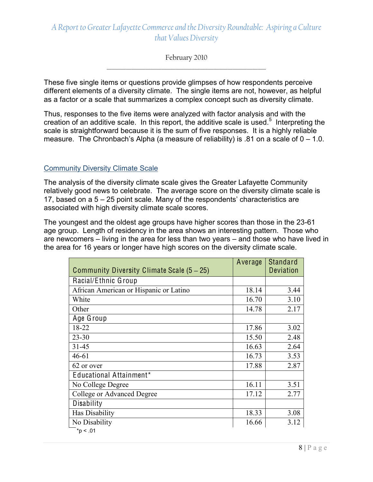February 2010 \_\_\_\_\_\_\_\_\_\_\_\_\_\_\_\_\_\_\_\_\_\_\_\_\_\_\_\_\_\_\_\_\_\_\_\_\_\_\_\_\_\_\_\_\_\_\_\_\_\_\_\_\_\_\_\_\_\_

These five single items or questions provide glimpses of how respondents perceive different elements of a diversity climate. The single items are not, however, as helpful as a factor or a scale that summarizes a complex concept such as diversity climate.

Thus, responses to the five items were analyzed with factor analysis and with the creation of an additive scale. In this report, the additive scale is used.<sup>5</sup> Interpreting the scale is straightforward because it is the sum of five responses. It is a highly reliable measure. The Chronbach's Alpha (a measure of reliability) is .81 on a scale of  $0 - 1.0$ .

#### Community Diversity Climate Scale

The analysis of the diversity climate scale gives the Greater Lafayette Community relatively good news to celebrate. The average score on the diversity climate scale is 17, based on a 5 – 25 point scale. Many of the respondents' characteristics are associated with high diversity climate scale scores.

The youngest and the oldest age groups have higher scores than those in the 23-61 age group. Length of residency in the area shows an interesting pattern. Those who are newcomers – living in the area for less than two years – and those who have lived in the area for 16 years or longer have high scores on the diversity climate scale.

| Community Diversity Climate Scale (5 – 25) | Average | Standard<br><b>Deviation</b> |
|--------------------------------------------|---------|------------------------------|
| Racial/Ethnic Group                        |         |                              |
| African American or Hispanic or Latino     | 18.14   | 3.44                         |
| White                                      | 16.70   | 3.10                         |
| Other                                      | 14.78   | 2.17                         |
| Age Group                                  |         |                              |
| 18-22                                      | 17.86   | 3.02                         |
| $23 - 30$                                  | 15.50   | 2.48                         |
| $31 - 45$                                  | 16.63   | 2.64                         |
| $46 - 61$                                  | 16.73   | 3.53                         |
| 62 or over                                 | 17.88   | 2.87                         |
| Educational Attainment*                    |         |                              |
| No College Degree                          | 16.11   | 3.51                         |
| College or Advanced Degree                 | 17.12   | 2.77                         |
| Disability                                 |         |                              |
| Has Disability                             | 18.33   | 3.08                         |
| No Disability                              | 16.66   | 3.12                         |
| $*p < .01$                                 |         |                              |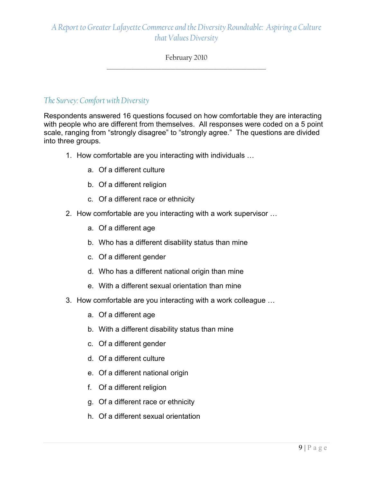#### February 2010 \_\_\_\_\_\_\_\_\_\_\_\_\_\_\_\_\_\_\_\_\_\_\_\_\_\_\_\_\_\_\_\_\_\_\_\_\_\_\_\_\_\_\_\_\_\_\_\_\_\_\_\_\_\_\_\_\_\_

#### *The Survey: Comfort with Diversity*

Respondents answered 16 questions focused on how comfortable they are interacting with people who are different from themselves. All responses were coded on a 5 point scale, ranging from "strongly disagree" to "strongly agree." The questions are divided into three groups.

- 1. How comfortable are you interacting with individuals …
	- a. Of a different culture
	- b. Of a different religion
	- c. Of a different race or ethnicity
- 2. How comfortable are you interacting with a work supervisor …
	- a. Of a different age
	- b. Who has a different disability status than mine
	- c. Of a different gender
	- d. Who has a different national origin than mine
	- e. With a different sexual orientation than mine
- 3. How comfortable are you interacting with a work colleague …
	- a. Of a different age
	- b. With a different disability status than mine
	- c. Of a different gender
	- d. Of a different culture
	- e. Of a different national origin
	- f. Of a different religion
	- g. Of a different race or ethnicity
	- h. Of a different sexual orientation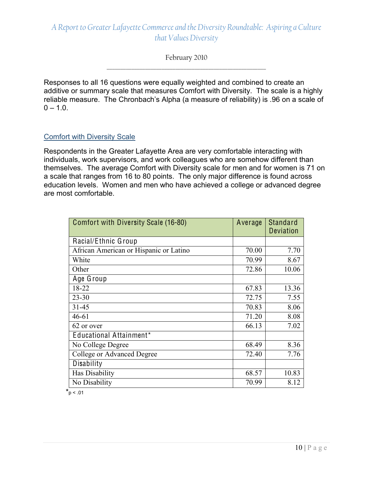February 2010 \_\_\_\_\_\_\_\_\_\_\_\_\_\_\_\_\_\_\_\_\_\_\_\_\_\_\_\_\_\_\_\_\_\_\_\_\_\_\_\_\_\_\_\_\_\_\_\_\_\_\_\_\_\_\_\_\_\_

Responses to all 16 questions were equally weighted and combined to create an additive or summary scale that measures Comfort with Diversity. The scale is a highly reliable measure. The Chronbach's Alpha (a measure of reliability) is .96 on a scale of  $0 - 1.0$ .

#### Comfort with Diversity Scale

Respondents in the Greater Lafayette Area are very comfortable interacting with individuals, work supervisors, and work colleagues who are somehow different than themselves. The average Comfort with Diversity scale for men and for women is 71 on a scale that ranges from 16 to 80 points. The only major difference is found across education levels. Women and men who have achieved a college or advanced degree are most comfortable.

| Comfort with Diversity Scale (16-80)   | Average | <b>Standard</b><br><b>Deviation</b> |
|----------------------------------------|---------|-------------------------------------|
| Racial/Ethnic Group                    |         |                                     |
| African American or Hispanic or Latino | 70.00   | 7.70                                |
| White                                  | 70.99   | 8.67                                |
| Other                                  | 72.86   | 10.06                               |
| Age Group                              |         |                                     |
| 18-22                                  | 67.83   | 13.36                               |
| $23 - 30$                              | 72.75   | 7.55                                |
| $31 - 45$                              | 70.83   | 8.06                                |
| $46 - 61$                              | 71.20   | 8.08                                |
| 62 or over                             | 66.13   | 7.02                                |
| Educational Attainment*                |         |                                     |
| No College Degree                      | 68.49   | 8.36                                |
| College or Advanced Degree             | 72.40   | 7.76                                |
| Disability                             |         |                                     |
| Has Disability                         | 68.57   | 10.83                               |
| No Disability                          | 70.99   | 8.12                                |

 $*_{p}$  < .01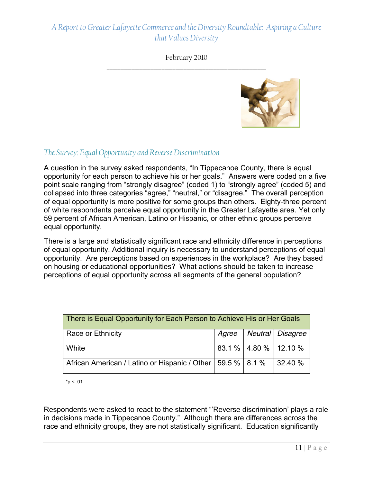#### February 2010 \_\_\_\_\_\_\_\_\_\_\_\_\_\_\_\_\_\_\_\_\_\_\_\_\_\_\_\_\_\_\_\_\_\_\_\_\_\_\_\_\_\_\_\_\_\_\_\_\_\_\_\_\_\_\_\_\_\_



#### *The Survey: Equal Opportunity and Reverse Discrimination*

A question in the survey asked respondents, "In Tippecanoe County, there is equal opportunity for each person to achieve his or her goals." Answers were coded on a five point scale ranging from "strongly disagree" (coded 1) to "strongly agree" (coded 5) and collapsed into three categories "agree," "neutral," or "disagree." The overall perception of equal opportunity is more positive for some groups than others. Eighty-three percent of white respondents perceive equal opportunity in the Greater Lafayette area. Yet only 59 percent of African American, Latino or Hispanic, or other ethnic groups perceive equal opportunity.

There is a large and statistically significant race and ethnicity difference in perceptions of equal opportunity. Additional inquiry is necessary to understand perceptions of equal opportunity. Are perceptions based on experiences in the workplace? Are they based on housing or educational opportunities? What actions should be taken to increase perceptions of equal opportunity across all segments of the general population?

| There is Equal Opportunity for Each Person to Achieve His or Her Goals |  |  |                            |  |
|------------------------------------------------------------------------|--|--|----------------------------|--|
| Race or Ethnicity                                                      |  |  | Agree   Neutral   Disagree |  |
| White                                                                  |  |  | 83.1 %   4.80 %   12.10 %  |  |
| African American / Latino or Hispanic / Other   59.5 %   8.1 %         |  |  | $\frac{132.40}{6}$         |  |

 $*p < .01$ 

Respondents were asked to react to the statement "'Reverse discrimination' plays a role in decisions made in Tippecanoe County." Although there are differences across the race and ethnicity groups, they are not statistically significant. Education significantly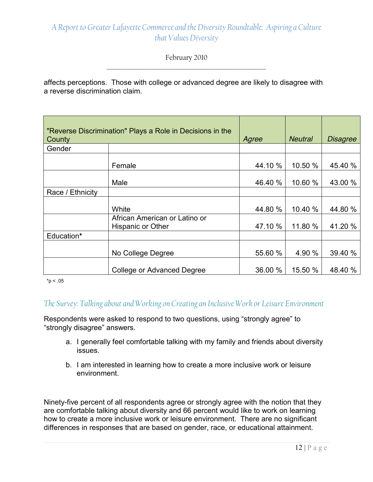February 2010 \_\_\_\_\_\_\_\_\_\_\_\_\_\_\_\_\_\_\_\_\_\_\_\_\_\_\_\_\_\_\_\_\_\_\_\_\_\_\_\_\_\_\_\_\_\_\_\_\_\_\_\_\_\_\_\_\_\_

affects perceptions. Those with college or advanced degree are likely to disagree with a reverse discrimination claim.

| County           | "Reverse Discrimination" Plays a Role in Decisions in the | Agree   | <b>Neutral</b> | <b>Disagree</b> |
|------------------|-----------------------------------------------------------|---------|----------------|-----------------|
| Gender           |                                                           |         |                |                 |
|                  | Female                                                    | 44.10 % | 10.50 %        | 45.40 %         |
|                  | Male                                                      | 46.40 % | 10.60 %        | 43.00 %         |
| Race / Ethnicity |                                                           |         |                |                 |
|                  | White                                                     | 44.80 % | 10.40 %        | 44.80 %         |
|                  | African American or Latino or<br><b>Hispanic or Other</b> | 47.10 % | 11.80 %        | 41.20 %         |
| Education*       |                                                           |         |                |                 |
|                  | No College Degree                                         | 55.60 % | 4.90 %         | 39.40 %         |
|                  | College or Advanced Degree                                | 36.00 % | 15.50 %        | 48.40 %         |

 $*p < .05$ 

#### *The Survey: Talking about and Working on Creating an Inclusive Work or Leisure Environment*

Respondents were asked to respond to two questions, using "strongly agree" to "strongly disagree" answers.

- a. I generally feel comfortable talking with my family and friends about diversity issues.
- b. I am interested in learning how to create a more inclusive work or leisure environment.

Ninety-five percent of all respondents agree or strongly agree with the notion that they are comfortable talking about diversity and 66 percent would like to work on learning how to create a more inclusive work or leisure environment. There are no significant differences in responses that are based on gender, race, or educational attainment.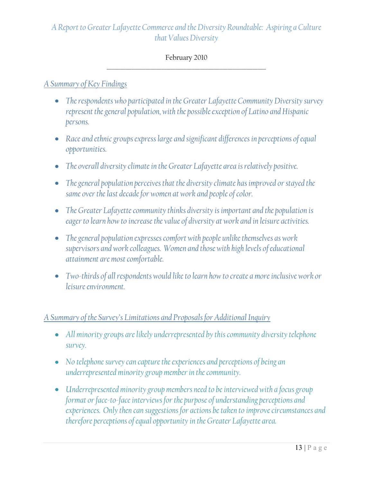#### February 2010 \_\_\_\_\_\_\_\_\_\_\_\_\_\_\_\_\_\_\_\_\_\_\_\_\_\_\_\_\_\_\_\_\_\_\_\_\_\_\_\_\_\_\_\_\_\_\_\_\_\_\_\_\_\_\_\_\_\_

#### *A Summary of Key Findings*

- *The respondents who participated in the Greater Lafayette Community Diversity survey represent the general population, with the possible exception of Latino and Hispanic persons.*
- *Race and ethnic groups express large and significant differences in perceptions of equal opportunities.*
- *The overall diversity climate in the Greater Lafayette area is relatively positive.*
- *The general population perceives that the diversity climate has improved or stayed the same over the last decade for women at work and people of color.*
- *The Greater Lafayette community thinks diversity is important and the population is eager to learn how to increase the value of diversity at work and in leisure activities.*
- *The general population expresses comfort with people unlike themselves as work supervisors and work colleagues. Women and those with high levels of educational attainment are most comfortable.*
- *Two‐thirds of all respondents would like to learn how to create a more inclusive work or leisure environment.*

#### *A Summary of the Survey's Limitations and Proposals for Additional Inquiry*

- All minority groups are likely underrepresented by this community diversity telephone *survey.*
- *No telephone survey can capture the experiences and perceptions of being an underrepresented minority group member in the community.*
- *Underrepresented minority group members need to be interviewed with a focus group format or face‐to‐face interviews for the purpose of understanding perceptions and experiences. Only then can suggestions for actions be taken to improve circumstances and therefore perceptions of equal opportunity in the Greater Lafayette area.*